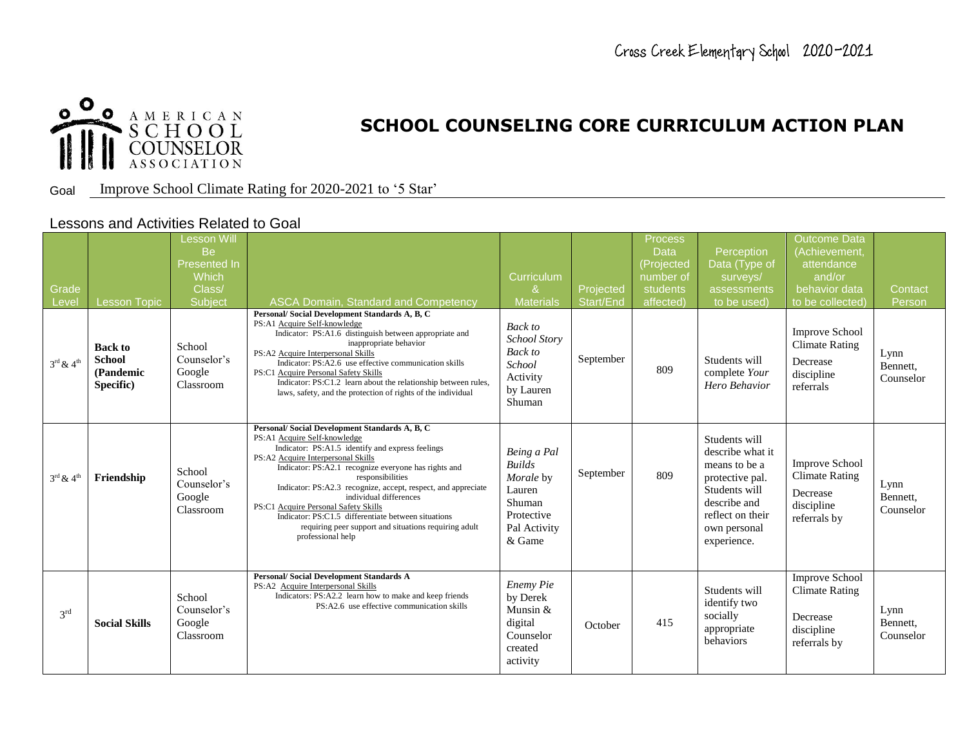

Goal Improve School Climate Rating for 2020-2021 to '5 Star'

### Lessons and Activities Related to Goal

| Grade<br>Level                    | <b>Lesson Topic</b>                                       | Lesson Will<br><b>Be</b><br><b>Presented In</b><br>Which<br>Class/<br>Subject | <b>ASCA Domain, Standard and Competency</b>                                                                                                                                                                                                                                                                                                                                                                                                                                                                                 | Curriculum<br>&<br><b>Materials</b>                                                                   | Projected<br>Start/End | Process<br><b>Data</b><br>(Projected<br>number of<br>students<br>affected) | Perception<br>Data (Type of<br>surveys/<br>assessments<br>to be used)                                                                                     | <b>Outcome Data</b><br>(Achievement<br>attendance<br>and/or<br>behavior data<br>to be collected | Contact<br>Person             |
|-----------------------------------|-----------------------------------------------------------|-------------------------------------------------------------------------------|-----------------------------------------------------------------------------------------------------------------------------------------------------------------------------------------------------------------------------------------------------------------------------------------------------------------------------------------------------------------------------------------------------------------------------------------------------------------------------------------------------------------------------|-------------------------------------------------------------------------------------------------------|------------------------|----------------------------------------------------------------------------|-----------------------------------------------------------------------------------------------------------------------------------------------------------|-------------------------------------------------------------------------------------------------|-------------------------------|
| $3^{\rm rd}$ & $4^{\rm th}$       | <b>Back to</b><br><b>School</b><br>(Pandemic<br>Specific) | School<br>Counselor's<br>Google<br>Classroom                                  | Personal/Social Development Standards A, B, C<br>PS:A1 Acquire Self-knowledge<br>Indicator: PS:A1.6 distinguish between appropriate and<br>inappropriate behavior<br>PS:A2 Acquire Interpersonal Skills<br>Indicator: PS:A2.6 use effective communication skills<br>PS:C1 Acquire Personal Safety Skills<br>Indicator: PS:C1.2 learn about the relationship between rules,<br>laws, safety, and the protection of rights of the individual                                                                                  | Back to<br><b>School Story</b><br><b>Back</b> to<br>School<br>Activity<br>by Lauren<br>Shuman         | September              | 809                                                                        | Students will<br>complete Your<br>Hero Behavior                                                                                                           | <b>Improve School</b><br><b>Climate Rating</b><br>Decrease<br>discipline<br>referrals           | Lynn<br>Bennett,<br>Counselor |
| $3^{\text{rd}}$ & $4^{\text{th}}$ | Friendship                                                | School<br>Counselor's<br>Google<br>Classroom                                  | Personal/Social Development Standards A, B, C<br>PS:A1 Acquire Self-knowledge<br>Indicator: PS:A1.5 identify and express feelings<br>PS:A2 Acquire Interpersonal Skills<br>Indicator: PS:A2.1 recognize everyone has rights and<br>responsibilities<br>Indicator: PS:A2.3 recognize, accept, respect, and appreciate<br>individual differences<br>PS:C1 Acquire Personal Safety Skills<br>Indicator: PS:C1.5 differentiate between situations<br>requiring peer support and situations requiring adult<br>professional help | Being a Pal<br><b>Builds</b><br>Morale by<br>Lauren<br>Shuman<br>Protective<br>Pal Activity<br>& Game | September              | 809                                                                        | Students will<br>describe what it<br>means to be a<br>protective pal.<br>Students will<br>describe and<br>reflect on their<br>own personal<br>experience. | <b>Improve School</b><br><b>Climate Rating</b><br>Decrease<br>discipline<br>referrals by        | Lynn<br>Bennett,<br>Counselor |
| 3 <sup>rd</sup>                   | <b>Social Skills</b>                                      | School<br>Counselor's<br>Google<br>Classroom                                  | <b>Personal/Social Development Standards A</b><br>PS:A2 Acquire Interpersonal Skills<br>Indicators: PS:A2.2 learn how to make and keep friends<br>PS:A2.6 use effective communication skills                                                                                                                                                                                                                                                                                                                                | Enemy Pie<br>by Derek<br>Munsin &<br>digital<br>Counselor<br>created<br>activity                      | October                | 415                                                                        | Students will<br>identify two<br>socially<br>appropriate<br>behaviors                                                                                     | <b>Improve School</b><br><b>Climate Rating</b><br>Decrease<br>discipline<br>referrals by        | Lynn<br>Bennett,<br>Counselor |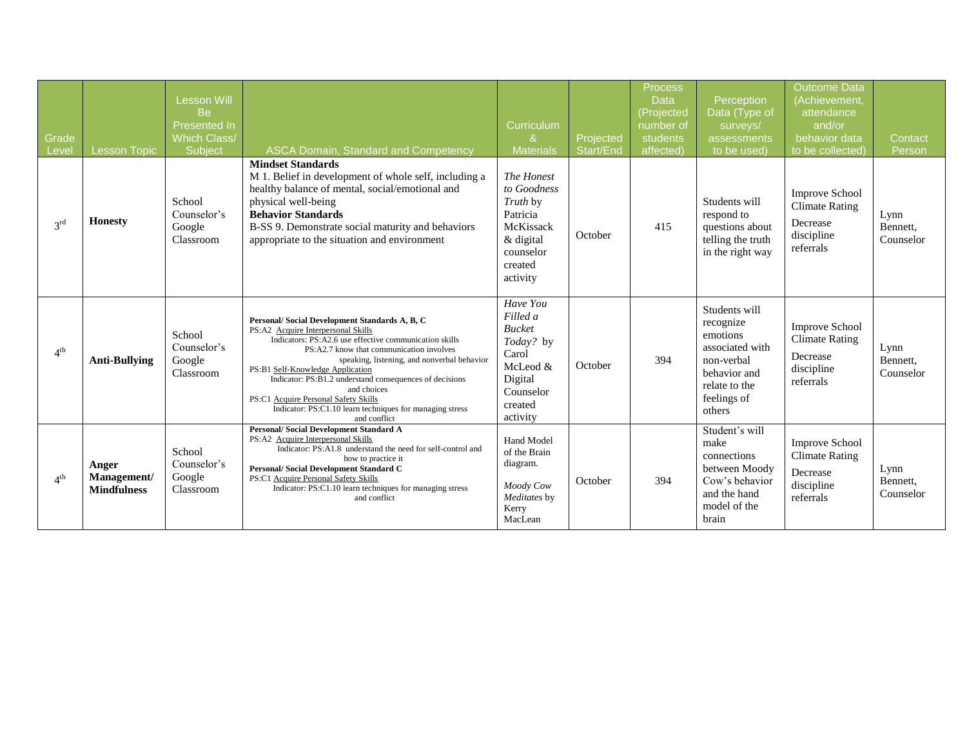| Grade<br>Level  | <b>Lesson Topic</b>                        | <b>Lesson Will</b><br>Be<br>Presented In<br><b>Which Class/</b><br>Subject | ASCA Domain, Standard and Competency                                                                                                                                                                                                                                                                                                                                                                                                                                       | Curriculum<br>&<br><b>Materials</b>                                                                                    | Projected<br>Start/End | Process<br><b>Data</b><br>(Projected<br>number of<br>students<br>affected) | Perception<br>Data (Type of<br>surveys/<br>assessments<br>to be used)                                                             | <b>Outcome Data</b><br>(Achievement,<br>attendance<br>and/or<br>behavior data<br>to be collected) | Contact<br>Person             |
|-----------------|--------------------------------------------|----------------------------------------------------------------------------|----------------------------------------------------------------------------------------------------------------------------------------------------------------------------------------------------------------------------------------------------------------------------------------------------------------------------------------------------------------------------------------------------------------------------------------------------------------------------|------------------------------------------------------------------------------------------------------------------------|------------------------|----------------------------------------------------------------------------|-----------------------------------------------------------------------------------------------------------------------------------|---------------------------------------------------------------------------------------------------|-------------------------------|
| $3^{\text{rd}}$ | <b>Honesty</b>                             | School<br>Counselor's<br>Google<br>Classroom                               | <b>Mindset Standards</b><br>M 1. Belief in development of whole self, including a<br>healthy balance of mental, social/emotional and<br>physical well-being<br><b>Behavior Standards</b><br>B-SS 9. Demonstrate social maturity and behaviors<br>appropriate to the situation and environment                                                                                                                                                                              | The Honest<br>to Goodness<br>Truth by<br>Patricia<br>McKissack<br>& digital<br>counselor<br>created<br>activity        | October                | 415                                                                        | Students will<br>respond to<br>questions about<br>telling the truth<br>in the right way                                           | <b>Improve School</b><br><b>Climate Rating</b><br>Decrease<br>discipline<br>referrals             | Lynn<br>Bennett,<br>Counselor |
| 4 <sup>th</sup> | <b>Anti-Bullying</b>                       | School<br>Counselor's<br>Google<br>Classroom                               | Personal/Social Development Standards A, B, C<br>PS:A2 Acquire Interpersonal Skills<br>Indicators: PS:A2.6 use effective communication skills<br>PS:A2.7 know that communication involves<br>speaking, listening, and nonverbal behavior<br>PS:B1 Self-Knowledge Application<br>Indicator: PS:B1.2 understand consequences of decisions<br>and choices<br>PS:C1 Acquire Personal Safety Skills<br>Indicator: PS:C1.10 learn techniques for managing stress<br>and conflict | Have You<br>Filled a<br><b>Bucket</b><br>Today? by<br>Carol<br>McLeod &<br>Digital<br>Counselor<br>created<br>activity | October                | 394                                                                        | Students will<br>recognize<br>emotions<br>associated with<br>non-verbal<br>behavior and<br>relate to the<br>feelings of<br>others | <b>Improve School</b><br><b>Climate Rating</b><br>Decrease<br>discipline<br>referrals             | Lynn<br>Bennett,<br>Counselor |
| $4^{\text{th}}$ | Anger<br>Management/<br><b>Mindfulness</b> | School<br>Counselor's<br>Google<br>Classroom                               | <b>Personal/Social Development Standard A</b><br>PS:A2 Acquire Interpersonal Skills<br>Indicator: PS:A1.8 understand the need for self-control and<br>how to practice it<br>Personal/Social Development Standard C<br>PS:C1 Acquire Personal Safety Skills<br>Indicator: PS:C1.10 learn techniques for managing stress<br>and conflict                                                                                                                                     | <b>Hand Model</b><br>of the Brain<br>diagram.<br>Moody Cow<br>Meditates by<br>Kerry<br>MacLean                         | October                | 394                                                                        | Student's will<br>make<br>connections<br>between Moody<br>Cow's behavior<br>and the hand<br>model of the<br>brain                 | <b>Improve School</b><br><b>Climate Rating</b><br>Decrease<br>discipline<br>referrals             | Lynn<br>Bennett,<br>Counselor |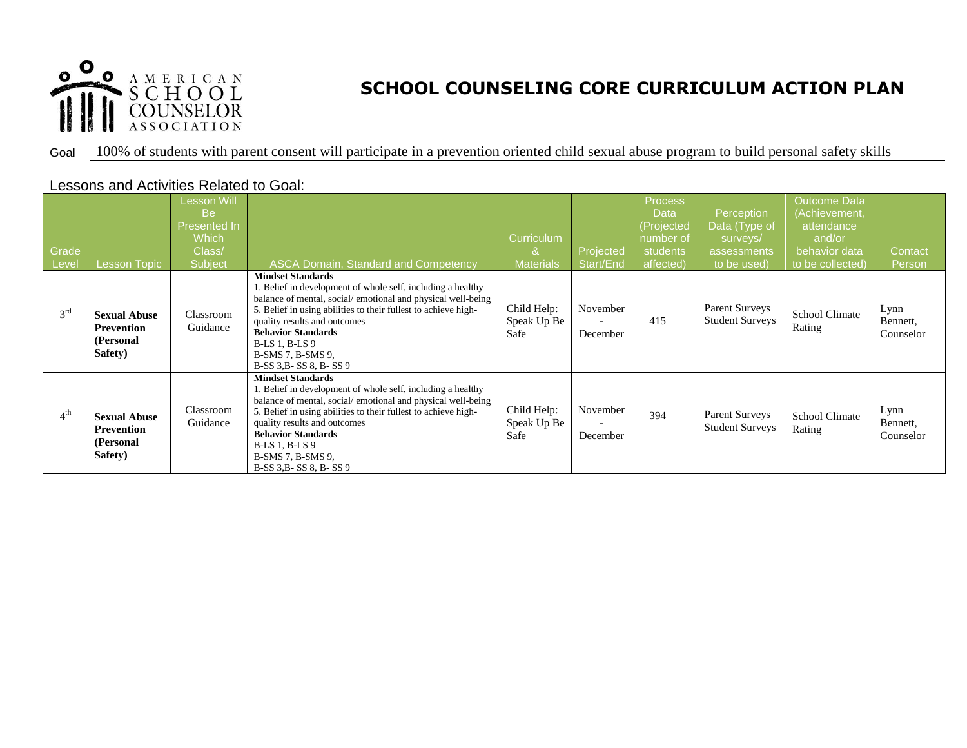

## Goal 100% of students with parent consent will participate in a prevention oriented child sexual abuse program to build personal safety skills

| Grade<br>Level  | <b>Lesson Topic</b>                                              | Lesson Will<br><b>Be</b><br>Presented In<br>Which<br>Class/<br>Subject | <b>ASCA Domain, Standard and Competency</b>                                                                                                                                                                                                                                                                                                                  | Curriculum<br><b>Materials</b>     | Projected<br>Start/End | Process<br>Data<br>(Projected<br>number of<br>students<br>affected) | Perception<br>Data (Type of<br>surveys/<br>assessments<br>to be used) | <b>Outcome Data</b><br>(Achievement,<br>attendance<br>and/or<br>behavior data<br>to be collected) | Contact<br>Person             |
|-----------------|------------------------------------------------------------------|------------------------------------------------------------------------|--------------------------------------------------------------------------------------------------------------------------------------------------------------------------------------------------------------------------------------------------------------------------------------------------------------------------------------------------------------|------------------------------------|------------------------|---------------------------------------------------------------------|-----------------------------------------------------------------------|---------------------------------------------------------------------------------------------------|-------------------------------|
| 3 <sup>rd</sup> | <b>Sexual Abuse</b><br><b>Prevention</b><br>(Personal<br>Safety) | Classroom<br>Guidance                                                  | <b>Mindset Standards</b><br>1. Belief in development of whole self, including a healthy<br>balance of mental, social/emotional and physical well-being<br>5. Belief in using abilities to their fullest to achieve high-<br>quality results and outcomes<br><b>Behavior Standards</b><br><b>B-LS 1, B-LS 9</b><br>B-SMS 7, B-SMS 9,<br>B-SS 3.B-SS 8, B-SS 9 | Child Help:<br>Speak Up Be<br>Safe | November<br>December   | 415                                                                 | <b>Parent Surveys</b><br><b>Student Surveys</b>                       | <b>School Climate</b><br>Rating                                                                   | Lynn<br>Bennett,<br>Counselor |
| 4 <sup>th</sup> | <b>Sexual Abuse</b><br><b>Prevention</b><br>(Personal<br>Safety) | Classroom<br>Guidance                                                  | <b>Mindset Standards</b><br>1. Belief in development of whole self, including a healthy<br>balance of mental, social/emotional and physical well-being<br>5. Belief in using abilities to their fullest to achieve high-<br>quality results and outcomes<br><b>Behavior Standards</b><br><b>B-LS 1, B-LS 9</b><br>B-SMS 7, B-SMS 9,<br>B-SS 3.B-SS 8, B-SS 9 | Child Help:<br>Speak Up Be<br>Safe | November<br>December   | 394                                                                 | <b>Parent Surveys</b><br><b>Student Surveys</b>                       | <b>School Climate</b><br>Rating                                                                   | Lynn<br>Bennett,<br>Counselor |

## Lessons and Activities Related to Goal: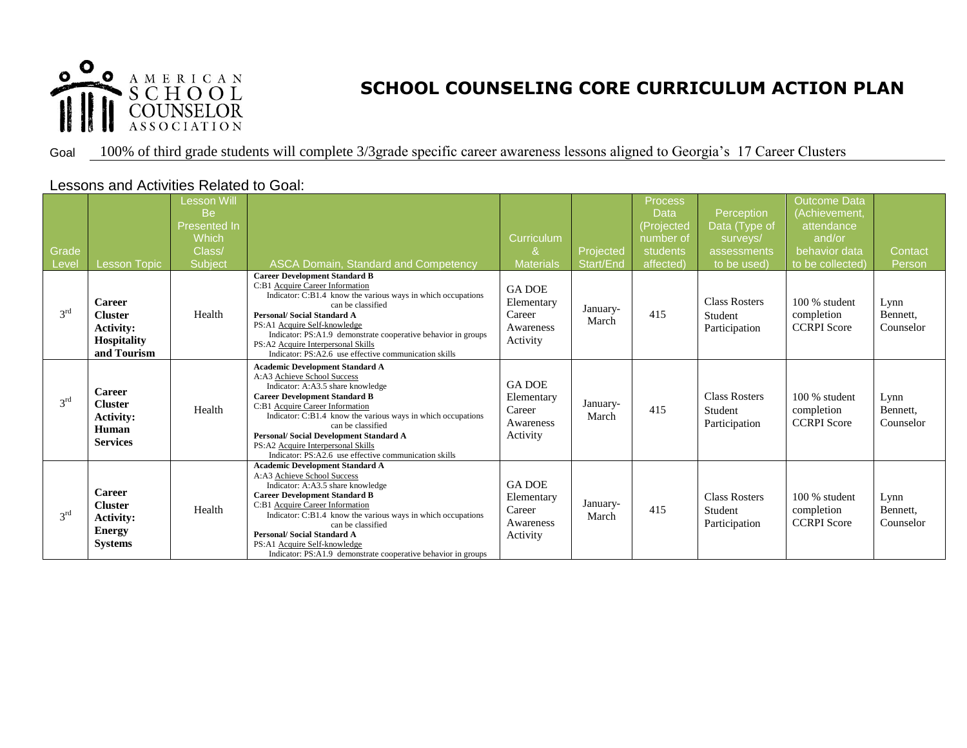

#### Goal 100% of third grade students will complete 3/3grade specific career awareness lessons aligned to Georgia's 17 Career Clusters

### Lessons and Activities Related to Goal:

| Grade<br>Level  | <b>Lesson Topic</b>                                                                      | Lesson Will<br><b>Be</b><br>Presented In<br>Which<br>Class/<br>Subject | <b>ASCA Domain, Standard and Competency</b>                                                                                                                                                                                                                                                                                                                                                                                | Curriculum<br>&<br><b>Materials</b>                            | Projected<br>Start/End | Process<br><b>Data</b><br>(Projected<br>number of<br>students<br>affected) | Perception<br>Data (Type of<br>surveys/<br>assessments<br>to be used) | <b>Outcome Data</b><br>(Achievement<br>attendance<br>and/or<br>behavior data<br>to be collected) | Contact<br>Person             |
|-----------------|------------------------------------------------------------------------------------------|------------------------------------------------------------------------|----------------------------------------------------------------------------------------------------------------------------------------------------------------------------------------------------------------------------------------------------------------------------------------------------------------------------------------------------------------------------------------------------------------------------|----------------------------------------------------------------|------------------------|----------------------------------------------------------------------------|-----------------------------------------------------------------------|--------------------------------------------------------------------------------------------------|-------------------------------|
| 3 <sup>rd</sup> | <b>Career</b><br><b>Cluster</b><br><b>Activity:</b><br><b>Hospitality</b><br>and Tourism | Health                                                                 | <b>Career Development Standard B</b><br>C:B1 Acquire Career Information<br>Indicator: C:B1.4 know the various ways in which occupations<br>can be classified<br><b>Personal/Social Standard A</b><br>PS:A1 Acquire Self-knowledge<br>Indicator: PS:A1.9 demonstrate cooperative behavior in groups<br>PS:A2 Acquire Interpersonal Skills<br>Indicator: PS:A2.6 use effective communication skills                          | <b>GA DOE</b><br>Elementary<br>Career<br>Awareness<br>Activity | January-<br>March      | 415                                                                        | <b>Class Rosters</b><br>Student<br>Participation                      | $100\%$ student<br>completion<br><b>CCRPI</b> Score                                              | Lynn<br>Bennett,<br>Counselor |
| $3^{\text{rd}}$ | <b>Career</b><br><b>Cluster</b><br><b>Activity:</b><br>Human<br><b>Services</b>          | Health                                                                 | <b>Academic Development Standard A</b><br>A:A3 Achieve School Success<br>Indicator: A:A3.5 share knowledge<br><b>Career Development Standard B</b><br>C:B1 Acquire Career Information<br>Indicator: C:B1.4 know the various ways in which occupations<br>can be classified<br><b>Personal/Social Development Standard A</b><br>PS:A2 Acquire Interpersonal Skills<br>Indicator: PS:A2.6 use effective communication skills | <b>GA DOE</b><br>Elementary<br>Career<br>Awareness<br>Activity | January-<br>March      | 415                                                                        | <b>Class Rosters</b><br>Student<br>Participation                      | $100\%$ student<br>completion<br><b>CCRPI</b> Score                                              | Lynn<br>Bennett,<br>Counselor |
| 3 <sup>rd</sup> | <b>Career</b><br><b>Cluster</b><br><b>Activity:</b><br><b>Energy</b><br><b>Systems</b>   | Health                                                                 | <b>Academic Development Standard A</b><br>A:A3 Achieve School Success<br>Indicator: A:A3.5 share knowledge<br><b>Career Development Standard B</b><br>C:B1 Acquire Career Information<br>Indicator: C:B1.4 know the various ways in which occupations<br>can be classified<br><b>Personal/Social Standard A</b><br>PS:A1 Acquire Self-knowledge<br>Indicator: PS:A1.9 demonstrate cooperative behavior in groups           | <b>GA DOE</b><br>Elementary<br>Career<br>Awareness<br>Activity | January-<br>March      | 415                                                                        | <b>Class Rosters</b><br>Student<br>Participation                      | $100\%$ student<br>completion<br><b>CCRPI</b> Score                                              | Lynn<br>Bennett,<br>Counselor |